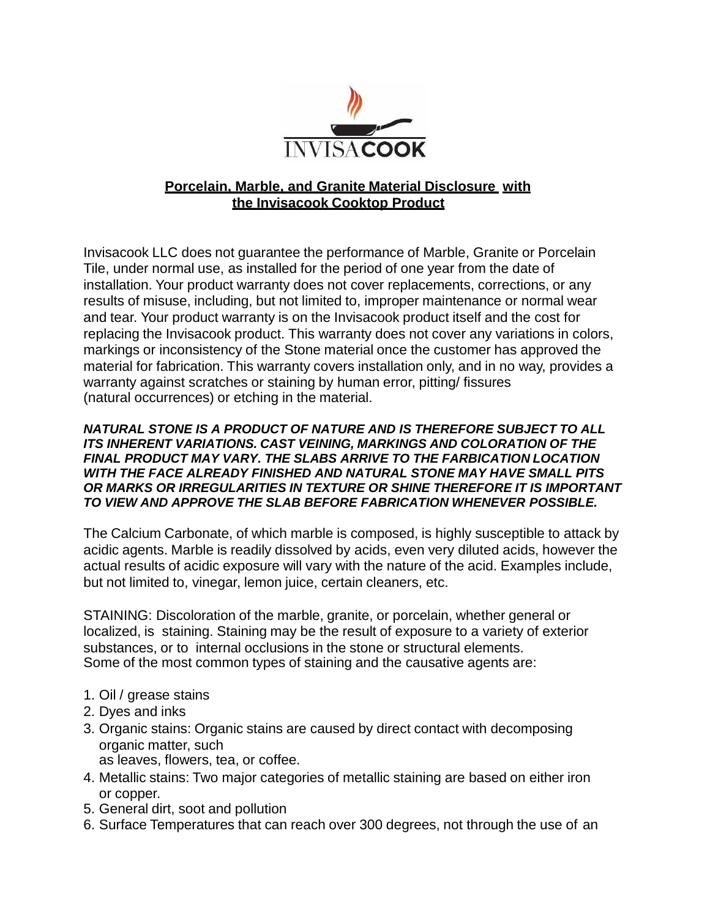

## **Porcelain, Marble, and Granite Material Disclosure with the Invisacook Cooktop Product**

Invisacook LLC does not guarantee the performance of Marble, Granite or Porcelain Tile, under normal use, as installed for the period of one year from the date of installation. Your product warranty does not cover replacements, corrections, or any results of misuse, including, but not limited to, improper maintenance or normal wear and tear. Your product warranty is on the Invisacook product itself and the cost for replacing the Invisacook product. This warranty does not cover any variations in colors, markings or inconsistency of the Stone material once the customer has approved the material for fabrication. This warranty covers installation only, and in no way, provides a warranty against scratches or staining by human error, pitting/ fissures (natural occurrences) or etching in the material.

## *NATURAL STONE IS A PRODUCT OF NATURE AND IS THEREFORE SUBJECT TO ALL ITS INHERENT VARIATIONS. CAST VEINING, MARKINGS AND COLORATION OF THE FINAL PRODUCT MAY VARY. THE SLABS ARRIVE TO THE FARBICATION LOCATION WITH THE FACE ALREADY FINISHED AND NATURAL STONE MAY HAVE SMALL PITS OR MARKS OR IRREGULARITIES IN TEXTURE OR SHINE THEREFORE IT IS IMPORTANT TO VIEW AND APPROVE THE SLAB BEFORE FABRICATION WHENEVER POSSIBLE.*

The Calcium Carbonate, of which marble is composed, is highly susceptible to attack by acidic agents. Marble is readily dissolved by acids, even very diluted acids, however the actual results of acidic exposure will vary with the nature of the acid. Examples include, but not limited to, vinegar, lemon juice, certain cleaners, etc.

STAINING: Discoloration of the marble, granite, or porcelain, whether general or localized, is staining. Staining may be the result of exposure to a variety of exterior substances, or to internal occlusions in the stone or structural elements. Some of the most common types of staining and the causative agents are:

- 1. Oil / grease stains
- 2. Dyes and inks
- 3. Organic stains: Organic stains are caused by direct contact with decomposing organic matter, such as leaves, flowers, tea, or coffee.
- 4. Metallic stains: Two major categories of metallic staining are based on either iron or copper.
- 5. General dirt, soot and pollution
- 6. Surface Temperatures that can reach over 300 degrees, not through the use of an